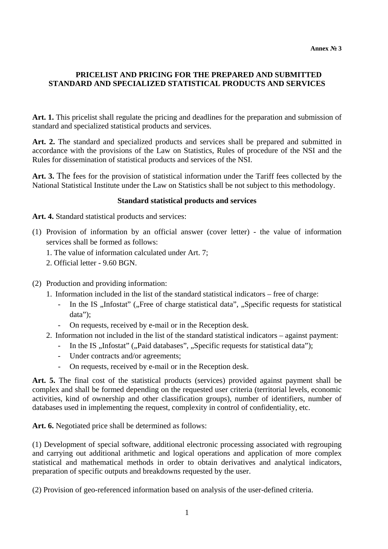## **PRICELIST AND PRICING FOR THE PREPARED AND SUBMITTED STANDARD AND SPECIALIZED STATISTICAL PRODUCTS AND SERVICES**

**Art. 1.** This pricelist shall regulate the pricing and deadlines for the preparation and submission of standard and specialized statistical products and services.

**Art. 2.** The standard and specialized products and services shall be prepared and submitted in accordance with the provisions of the Law on Statistics, Rules of procedure of the NSI and the Rules for dissemination of statistical products and services of the NSI.

**Art. 3.** The fees for the provision of statistical information under the Tariff fees collected by the National Statistical Institute under the Law on Statistics shall be not subject to this methodology.

#### **Standard statistical products and services**

Art. 4. Standard statistical products and services:

- (1) Provision of information by an official answer (cover letter) the value of information services shall be formed as follows:
	- 1. The value of information calculated under Art. 7;
	- 2. Official letter 9.60 BGN.
- (2) Production and providing information:
	- 1. Information included in the list of the standard statistical indicators free of charge:
		- In the IS "Infostat" ("Free of charge statistical data", "Specific requests for statistical data");
		- On requests, received by e-mail or in the Reception desk.
	- 2. Information not included in the list of the standard statistical indicators against payment:
		- In the IS "Infostat" ("Paid databases", "Specific requests for statistical data");
		- Under contracts and/or agreements;
		- On requests, received by e-mail or in the Reception desk.

**Art. 5.** The final cost of the statistical products (services) provided against payment shall be complex and shall be formed depending on the requested user criteria (territorial levels, economic activities, kind of ownership and other classification groups), number of identifiers, number of databases used in implementing the request, complexity in control of confidentiality, etc.

**Art. 6.** Negotiated price shall be determined as follows:

(1) Development of special software, additional electronic processing associated with regrouping and carrying out additional arithmetic and logical operations and application of more complex statistical and mathematical methods in order to obtain derivatives and analytical indicators, preparation of specific outputs and breakdowns requested by the user.

(2) Provision of geo-referenced information based on analysis of the user-defined criteria.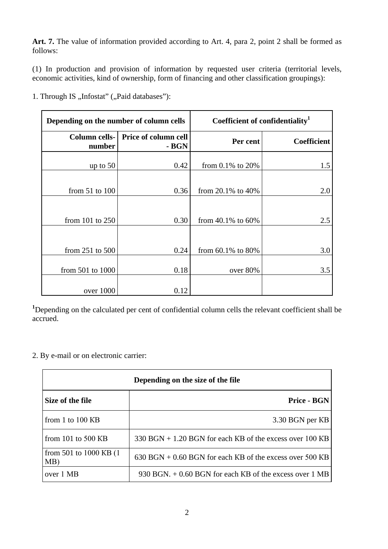**Art. 7.** The value of information provided according to Art. 4, para 2, point 2 shall be formed as follows:

(1) In production and provision of information by requested user criteria (territorial levels, economic activities, kind of ownership, form of financing and other classification groupings):

1. Through IS "Infostat" ("Paid databases"):

| Depending on the number of column cells |                                                    | Coefficient of confidentiality <sup>1</sup> |                    |
|-----------------------------------------|----------------------------------------------------|---------------------------------------------|--------------------|
| number                                  | <b>Column cells-</b> Price of column cell<br>- BGN | Per cent                                    | <b>Coefficient</b> |
| up to $50$                              | 0.42                                               | from $0.1\%$ to $20\%$                      | 1.5                |
| from $51$ to $100$                      | 0.36                                               | from $20.1\%$ to $40\%$                     | 2.0                |
|                                         |                                                    |                                             |                    |
| from $101$ to $250$                     | 0.30                                               | from $40.1\%$ to $60\%$                     | 2.5                |
|                                         |                                                    |                                             |                    |
| from $251$ to $500$                     | 0.24                                               | from $60.1\%$ to $80\%$                     | 3.0                |
| from $501$ to $1000$                    | 0.18                                               | over 80%                                    | 3.5                |
| over 1000                               | 0.12                                               |                                             |                    |

<sup>1</sup>Depending on the calculated per cent of confidential column cells the relevant coefficient shall be accrued.

2. By e-mail or on electronic carrier:

| Depending on the size of the file |                                                            |  |
|-----------------------------------|------------------------------------------------------------|--|
| Size of the file                  | Price - BGN                                                |  |
| from 1 to $100$ KB                | 3.30 BGN per KB                                            |  |
| from 101 to 500 KB                | $330$ BGN + 1.20 BGN for each KB of the excess over 100 KB |  |
| from 501 to 1000 KB (1)<br>MB)    | $630$ BGN + 0.60 BGN for each KB of the excess over 500 KB |  |
| over 1 MB                         | 930 BGN. $+$ 0.60 BGN for each KB of the excess over 1 MB  |  |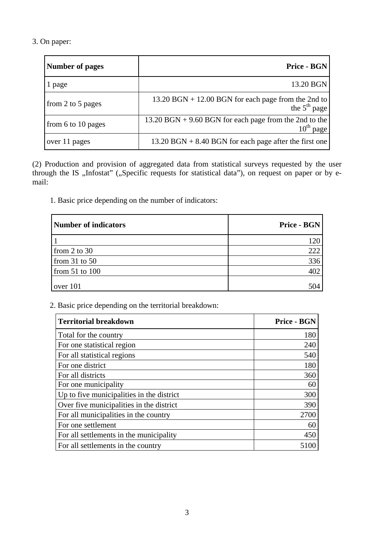# 3. On paper:

| <b>Number of pages</b> | Price - BGN                                                                          |
|------------------------|--------------------------------------------------------------------------------------|
| 1 page                 | 13.20 BGN                                                                            |
| from 2 to 5 pages      | $13.20$ BGN + 12.00 BGN for each page from the 2nd to<br>the $5th$ page              |
| from 6 to 10 pages     | $13.20$ BGN + 9.60 BGN for each page from the 2nd to the<br>$10^{\text{th}}$<br>page |
| over 11 pages          | $13.20$ BGN + 8.40 BGN for each page after the first one                             |

(2) Production and provision of aggregated data from statistical surveys requested by the user through the IS "Infostat" ("Specific requests for statistical data"), on request on paper or by email:

1. Basic price depending on the number of indicators:

| Number of indicators | Price - BGN |
|----------------------|-------------|
|                      | 120         |
| from $2$ to $30$     | 222         |
| from $31$ to $50$    | 336         |
| from $51$ to $100$   | 402         |
| over 101             | 504         |

2. Basic price depending on the territorial breakdown:

| <b>Territorial breakdown</b>              | <b>Price - BGN</b> |
|-------------------------------------------|--------------------|
| Total for the country                     | 180                |
| For one statistical region                | 240                |
| For all statistical regions               | 540                |
| For one district                          | 180                |
| For all districts                         | 360                |
| For one municipality                      | 60                 |
| Up to five municipalities in the district | 300                |
| Over five municipalities in the district  | 390                |
| For all municipalities in the country     | 2700               |
| For one settlement                        | 60                 |
| For all settlements in the municipality   | 450                |
| For all settlements in the country        |                    |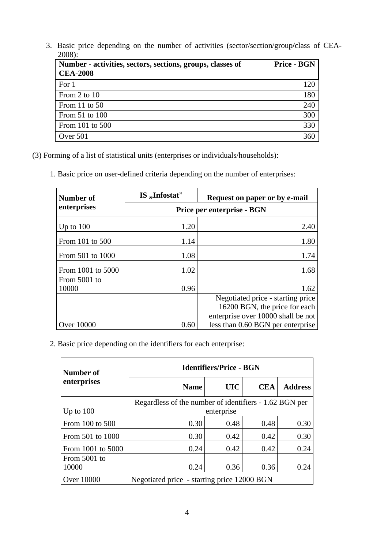3. Basic price depending on the number of activities (sector/section/group**/**class of CEA**-**2008):

| Number - activities, sectors, sections, groups, classes of<br><b>CEA-2008</b> | <b>Price - BGN</b> |
|-------------------------------------------------------------------------------|--------------------|
| For 1                                                                         | 120                |
| From 2 to 10                                                                  | 180                |
| From 11 to $50$                                                               | 240                |
| From 51 to 100                                                                | 300                |
| From 101 to 500                                                               | 330                |
| Over 501                                                                      | 360                |

(3) Forming of a list of statistical units (enterprises or individuals/households):

1. Basic price on user-defined criteria depending on the number of enterprises:

| Number of         | IS, Infostat"              | Request on paper or by e-mail      |  |
|-------------------|----------------------------|------------------------------------|--|
| enterprises       | Price per enterprise - BGN |                                    |  |
| Up to $100$       | 1.20                       | 2.40                               |  |
| From 101 to 500   | 1.14                       | 1.80                               |  |
| From 501 to 1000  | 1.08                       | 1.74                               |  |
| From 1001 to 5000 | 1.02                       | 1.68                               |  |
| From 5001 to      |                            |                                    |  |
| 10000             | 0.96                       | 1.62                               |  |
|                   |                            | Negotiated price - starting price  |  |
|                   |                            | 16200 BGN, the price for each      |  |
|                   |                            | enterprise over 10000 shall be not |  |
| <b>Over 10000</b> | 0.60                       | less than 0.60 BGN per enterprise  |  |

2. Basic price depending on the identifiers for each enterprise:

| Number of             | <b>Identifiers/Price - BGN</b>                                       |            |            |                |  |
|-----------------------|----------------------------------------------------------------------|------------|------------|----------------|--|
| enterprises           | <b>Name</b>                                                          | <b>UIC</b> | <b>CEA</b> | <b>Address</b> |  |
| Up to $100$           | Regardless of the number of identifiers - 1.62 BGN per<br>enterprise |            |            |                |  |
| From 100 to 500       | 0.30                                                                 | 0.48       | 0.48       | 0.30           |  |
| From 501 to 1000      | 0.30                                                                 | 0.42       | 0.42       | 0.30           |  |
| From 1001 to 5000     | 0.24                                                                 | 0.42       | 0.42       | 0.24           |  |
| From 5001 to<br>10000 | 0.24                                                                 | 0.36       | 0.36       | 0.24           |  |
| <b>Over 10000</b>     | Negotiated price - starting price 12000 BGN                          |            |            |                |  |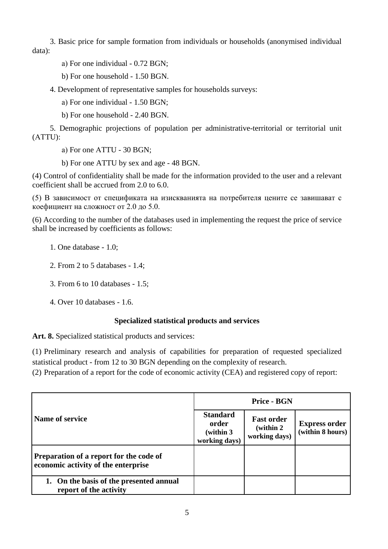3. Basic price for sample formation from individuals or households (anonymised individual data):

а) For one individual - 0.72 BGN;

b) For one household - 1.50 BGN.

4. Development of representative samples for households surveys:

а) For one individual - 1.50 BGN;

b) For one household - 2.40 BGN.

5. Demographic projections of population per administrative-territorial or territorial unit (АТTU):

а) For one АТTU - 30 BGN;

b) For one ATTU by sex and age - 48 BGN.

(4) Control of confidentiality shall be made for the information provided to the user and a relevant coefficient shall be accrued from 2.0 to 6.0.

(5) В зависимост от спецификата на изискванията на потребителя цените се завишават с коефициент на сложност от 2.0 до 5.0.

(6) According to the number of the databases used in implementing the request the price of service shall be increased by coefficients as follows:

1. One database - 1.0;

2. From 2 to 5 databases - 1.4;

3. From 6 to 10 databases - 1.5;

4. Over 10 databases - 1.6.

## **Specialized statistical products and services**

Art. 8. Specialized statistical products and services:

(1) Preliminary research and analysis of capabilities for preparation of requested specialized statistical product - from 12 to 30 BGN depending on the complexity of research.

(2) Preparation of a report for the code of economic activity (CEA) and registered copy of report:

|                                                                                | <b>Price - BGN</b>                                      |                                                  |                                          |
|--------------------------------------------------------------------------------|---------------------------------------------------------|--------------------------------------------------|------------------------------------------|
| Name of service                                                                | <b>Standard</b><br>order<br>(within 3)<br>working days) | <b>Fast order</b><br>(within 2)<br>working days) | <b>Express order</b><br>(within 8 hours) |
| Preparation of a report for the code of<br>economic activity of the enterprise |                                                         |                                                  |                                          |
| 1. On the basis of the presented annual<br>report of the activity              |                                                         |                                                  |                                          |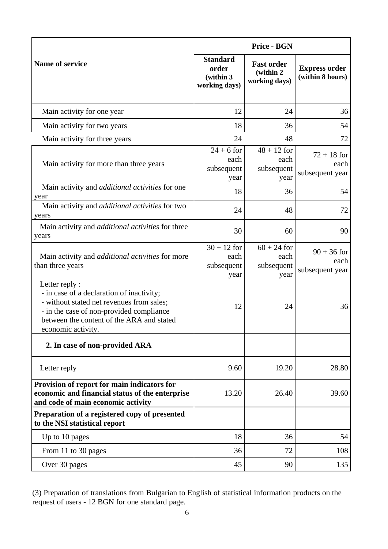|                                                                                                                                                                                                                         | <b>Price - BGN</b>                                     |                                                  |                                          |
|-------------------------------------------------------------------------------------------------------------------------------------------------------------------------------------------------------------------------|--------------------------------------------------------|--------------------------------------------------|------------------------------------------|
| Name of service                                                                                                                                                                                                         | <b>Standard</b><br>order<br>(within 3<br>working days) | <b>Fast order</b><br>(within 2)<br>working days) | <b>Express order</b><br>(within 8 hours) |
| Main activity for one year                                                                                                                                                                                              | 12                                                     | 24                                               | 36                                       |
| Main activity for two years                                                                                                                                                                                             | 18                                                     | 36                                               | 54                                       |
| Main activity for three years                                                                                                                                                                                           | 24                                                     | 48                                               | 72                                       |
| Main activity for more than three years                                                                                                                                                                                 | $24 + 6$ for<br>each<br>subsequent<br>year             | $48 + 12$ for<br>each<br>subsequent<br>year      | $72 + 18$ for<br>each<br>subsequent year |
| Main activity and <i>additional activities</i> for one<br>year                                                                                                                                                          | 18                                                     | 36                                               | 54                                       |
| Main activity and <i>additional activities</i> for two<br>years                                                                                                                                                         | 24                                                     | 48                                               | 72                                       |
| Main activity and <i>additional activities</i> for three<br>years                                                                                                                                                       | 30                                                     | 60                                               | 90                                       |
| Main activity and <i>additional activities</i> for more<br>than three years                                                                                                                                             | $30 + 12$ for<br>each<br>subsequent<br>year            | $60 + 24$ for<br>each<br>subsequent<br>year      | $90 + 36$ for<br>each<br>subsequent year |
| Letter reply :<br>- in case of a declaration of inactivity;<br>- without stated net revenues from sales;<br>- in the case of non-provided compliance<br>between the content of the ARA and stated<br>economic activity. | 12                                                     | 24                                               | 36                                       |
| 2. In case of non-provided ARA                                                                                                                                                                                          |                                                        |                                                  |                                          |
| Letter reply                                                                                                                                                                                                            | 9.60                                                   | 19.20                                            | 28.80                                    |
| Provision of report for main indicators for<br>economic and financial status of the enterprise<br>and code of main economic activity                                                                                    | 13.20                                                  | 26.40                                            | 39.60                                    |
| Preparation of a registered copy of presented<br>to the NSI statistical report                                                                                                                                          |                                                        |                                                  |                                          |
| Up to 10 pages                                                                                                                                                                                                          | 18                                                     | 36                                               | 54                                       |
| From 11 to 30 pages                                                                                                                                                                                                     | 36                                                     | 72                                               | 108                                      |
| Over 30 pages                                                                                                                                                                                                           | 45                                                     | 90                                               | 135                                      |

<sup>(3)</sup> Preparation of translations from Bulgarian to English of statistical information products on the request of users - 12 BGN for one standard page.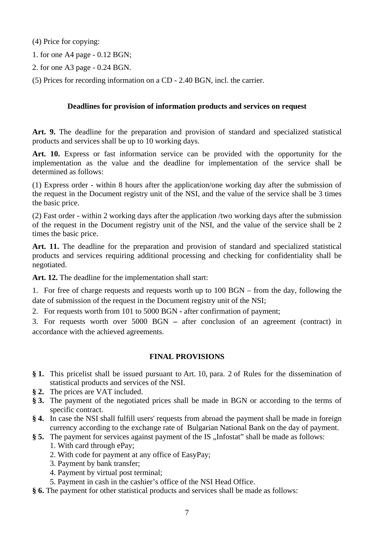(4) Price for copying:

- 1. for one A4 page 0.12 BGN;
- 2. for one A3 page 0.24 BGN.
- (5) Prices for recording information on a CD 2.40 BGN, incl. the carrier.

#### **Deadlines for provision of information products and services on request**

**Art. 9.** The deadline for the preparation and provision of standard and specialized statistical products and services shall be up to 10 working days.

**Art. 10.** Express or fast information service can be provided with the opportunity for the implementation as the value and the deadline for implementation of the service shall be determined as follows:

(1) Express order - within 8 hours after the application/one working day after the submission of the request in the Document registry unit of the NSI, and the value of the service shall be 3 times the basic price.

(2) Fast order - within 2 working days after the application /two working days after the submission of the request in the Document registry unit of the NSI, and the value of the service shall be 2 times the basic price.

**Art. 11.** The deadline for the preparation and provision of standard and specialized statistical products and services requiring additional processing and checking for confidentiality shall be negotiated.

**Art. 12.** The deadline for the implementation shall start:

1. For free of charge requests and requests worth up to 100 BGN – from the day, following the date of submission of the request in the Document registry unit of the NSI;

2. For requests worth from 101 to 5000 BGN **-** after confirmation of payment;

3. For requests worth over 5000 BGN **–** after conclusion of an agreement (contract) in accordance with the achieved agreements.

## **FINAL PROVISIONS**

- **§ 1.** This pricelist shall be issued pursuant to Art. 10, para. 2 of Rules for the dissemination of statistical products and services of the NSI.
- **§ 2.** The prices are VAT included.
- **§ 3.** The payment of the negotiated prices shall be made in BGN or according to the terms of specific contract.
- **§ 4.** In case the NSI shall fulfill users' requests from abroad the payment shall be made in foreign currency according to the exchange rate of Bulgarian National Bank on the day of payment.
- § 5. The payment for services against payment of the IS "Infostat" shall be made as follows:
	- 1. With card through ePay;
	- 2. With code for payment at any office of EasyPay;
	- 3. Payment by bank transfer;
	- 4. Payment by virtual post terminal;
	- 5. Payment in cash in the cashier's office of the NSI Head Office.
- **§ 6.** The payment for other statistical products and services shall be made as follows: